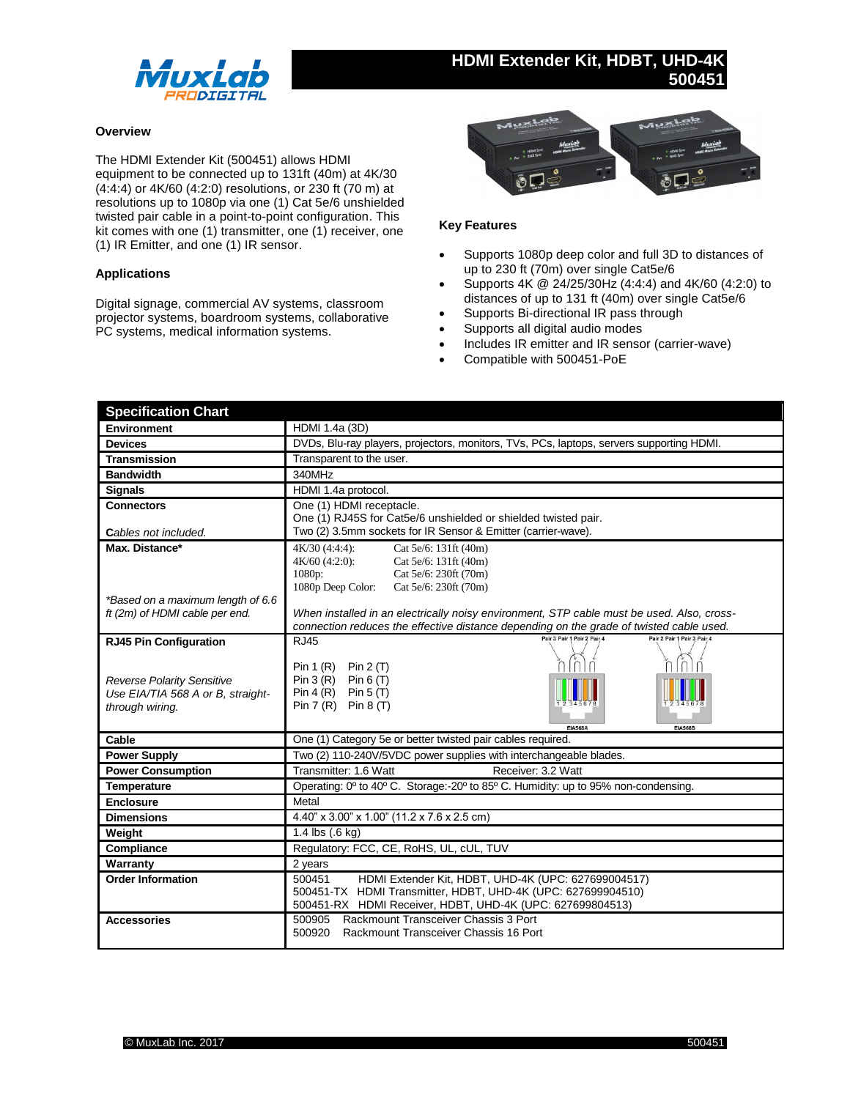

# **HDMI Extender Kit, HDBT, UHD-4K 500451**

## **Overview**

The HDMI Extender Kit (500451) allows HDMI equipment to be connected up to 131ft (40m) at 4K/30 (4:4:4) or 4K/60 (4:2:0) resolutions, or 230 ft (70 m) at resolutions up to 1080p via one (1) Cat 5e/6 unshielded twisted pair cable in a point-to-point configuration. This kit comes with one (1) transmitter, one (1) receiver, one (1) IR Emitter, and one (1) IR sensor.

## **Applications**

Digital signage, commercial AV systems, classroom projector systems, boardroom systems, collaborative PC systems, medical information systems.



## **Key Features**

- Supports 1080p deep color and full 3D to distances of up to 230 ft (70m) over single Cat5e/6
- Supports 4K @ 24/25/30Hz (4:4:4) and 4K/60 (4:2:0) to distances of up to 131 ft (40m) over single Cat5e/6
- Supports Bi-directional IR pass through
- Supports all digital audio modes
- Includes IR emitter and IR sensor (carrier-wave)
- Compatible with 500451-PoE

| <b>Specification Chart</b>                                                                                                 |                                                                                                                                                                                            |
|----------------------------------------------------------------------------------------------------------------------------|--------------------------------------------------------------------------------------------------------------------------------------------------------------------------------------------|
| <b>Environment</b>                                                                                                         | HDMI 1.4a (3D)                                                                                                                                                                             |
| <b>Devices</b>                                                                                                             | DVDs, Blu-ray players, projectors, monitors, TVs, PCs, laptops, servers supporting HDMI.                                                                                                   |
| <b>Transmission</b>                                                                                                        | Transparent to the user.                                                                                                                                                                   |
| <b>Bandwidth</b>                                                                                                           | 340MHz                                                                                                                                                                                     |
| <b>Signals</b>                                                                                                             | HDMI 1.4a protocol.                                                                                                                                                                        |
| <b>Connectors</b>                                                                                                          | One (1) HDMI receptacle.<br>One (1) RJ45S for Cat5e/6 unshielded or shielded twisted pair.<br>Two (2) 3.5mm sockets for IR Sensor & Emitter (carrier-wave).                                |
| Cables not included.<br>Max. Distance*                                                                                     |                                                                                                                                                                                            |
|                                                                                                                            | $4K/30$ $(4:4:4)$ :<br>Cat 5e/6: 131ft (40m)<br>$4K/60$ (4:2:0):<br>Cat 5e/6: 131ft (40m)<br>1080p:<br>Cat 5e/6: 230ft (70m)<br>1080p Deep Color:<br>Cat 5e/6: 230ft (70m)                 |
| *Based on a maximum length of 6.6<br>ft (2m) of HDMI cable per end.                                                        | When installed in an electrically noisy environment, STP cable must be used. Also, cross-<br>connection reduces the effective distance depending on the grade of twisted cable used.       |
| <b>RJ45 Pin Configuration</b><br><b>Reverse Polarity Sensitive</b><br>Use EIA/TIA 568 A or B, straight-<br>through wiring. | Pair 2 Pair 1 Pair 3 Pair 4<br><b>RJ45</b><br>ň<br>Pin 1 (R) Pin 2 (T)<br>Pin $3(R)$ Pin $6(T)$<br>Pin 4 (R) Pin 5 (T)<br>Pin $7(R)$ Pin $8(T)$<br><b>FIA568A</b><br><b>FIA568B</b>        |
| Cable                                                                                                                      | One (1) Category 5e or better twisted pair cables required.                                                                                                                                |
| <b>Power Supply</b>                                                                                                        | Two (2) 110-240V/5VDC power supplies with interchangeable blades.                                                                                                                          |
| <b>Power Consumption</b>                                                                                                   | Transmitter: 1.6 Watt<br>Receiver: 3.2 Watt                                                                                                                                                |
| Temperature                                                                                                                | Operating: 0° to 40° C. Storage:-20° to 85° C. Humidity: up to 95% non-condensing.                                                                                                         |
| <b>Enclosure</b>                                                                                                           | Metal                                                                                                                                                                                      |
| <b>Dimensions</b>                                                                                                          | 4.40" x 3.00" x 1.00" (11.2 x 7.6 x 2.5 cm)                                                                                                                                                |
| Weight                                                                                                                     | 1.4 $\text{lbs}$ (.6 kg)                                                                                                                                                                   |
| Compliance                                                                                                                 | Regulatory: FCC, CE, RoHS, UL, cUL, TUV                                                                                                                                                    |
| Warranty                                                                                                                   | 2 years                                                                                                                                                                                    |
| <b>Order Information</b>                                                                                                   | HDMI Extender Kit, HDBT, UHD-4K (UPC: 627699004517)<br>500451<br>500451-TX HDMI Transmitter, HDBT, UHD-4K (UPC: 627699904510)<br>500451-RX HDMI Receiver, HDBT, UHD-4K (UPC: 627699804513) |
| <b>Accessories</b>                                                                                                         | Rackmount Transceiver Chassis 3 Port<br>500905<br>500920<br>Rackmount Transceiver Chassis 16 Port                                                                                          |